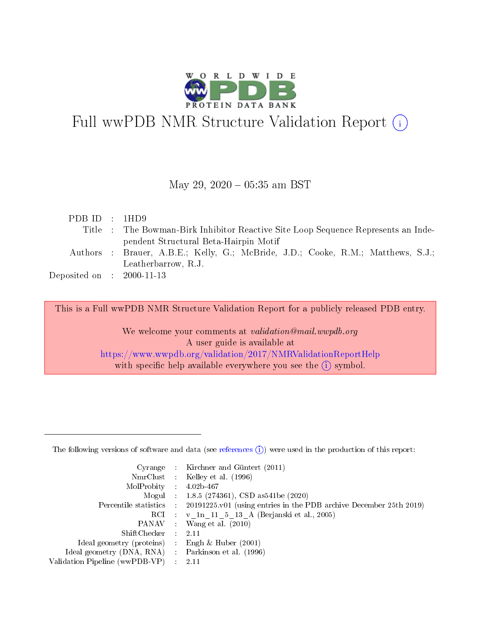

# Full wwPDB NMR Structure Validation Report (i)

## May 29,  $2020 - 05:35$  am BST

| PDBID : 1HD9                         |                                                                                   |
|--------------------------------------|-----------------------------------------------------------------------------------|
|                                      | Title : The Bowman-Birk Inhibitor Reactive Site Loop Sequence Represents an Inde- |
|                                      | pendent Structural Beta-Hairpin Motif                                             |
|                                      | Authors : Brauer, A.B.E.; Kelly, G.; McBride, J.D.; Cooke, R.M.; Matthews, S.J.;  |
|                                      | Leatherbarrow, R.J.                                                               |
| Deposited on $\therefore$ 2000-11-13 |                                                                                   |
|                                      |                                                                                   |

This is a Full wwPDB NMR Structure Validation Report for a publicly released PDB entry.

We welcome your comments at *validation@mail.wwpdb.org* A user guide is available at <https://www.wwpdb.org/validation/2017/NMRValidationReportHelp> with specific help available everywhere you see the  $(i)$  symbol.

The following versions of software and data (see [references](https://www.wwpdb.org/validation/2017/NMRValidationReportHelp#references)  $(1)$ ) were used in the production of this report:

|                                                     | Cyrange : Kirchner and Güntert $(2011)$                                                    |
|-----------------------------------------------------|--------------------------------------------------------------------------------------------|
|                                                     | NmrClust : Kelley et al. (1996)                                                            |
| MolProbity : $4.02b-467$                            |                                                                                            |
|                                                     | Mogul : $1.8.5$ (274361), CSD as 541be (2020)                                              |
|                                                     | Percentile statistics : 20191225.v01 (using entries in the PDB archive December 25th 2019) |
|                                                     | RCI : v 1n 11 5 13 A (Berjanski et al., 2005)                                              |
|                                                     | PANAV Wang et al. (2010)                                                                   |
| ShiftChecker 2.11                                   |                                                                                            |
| Ideal geometry (proteins) : Engh $\&$ Huber (2001)  |                                                                                            |
| Ideal geometry (DNA, RNA) : Parkinson et al. (1996) |                                                                                            |
| Validation Pipeline (wwPDB-VP) : 2.11               |                                                                                            |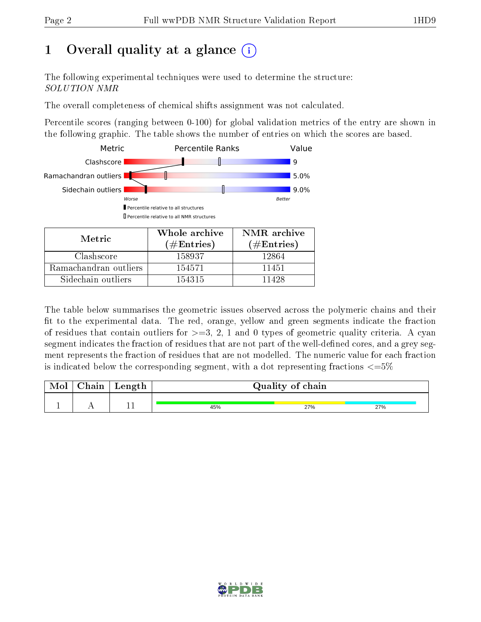## 1 [O](https://www.wwpdb.org/validation/2017/NMRValidationReportHelp#overall_quality)verall quality at a glance  $(i)$

The following experimental techniques were used to determine the structure: SOLUTION NMR

The overall completeness of chemical shifts assignment was not calculated.

Percentile scores (ranging between 0-100) for global validation metrics of the entry are shown in the following graphic. The table shows the number of entries on which the scores are based.



Sidechain outliers  $\vert$  154315 11428

The table below summarises the geometric issues observed across the polymeric chains and their fit to the experimental data. The red, orange, yellow and green segments indicate the fraction of residues that contain outliers for  $>=3, 2, 1$  and 0 types of geometric quality criteria. A cyan segment indicates the fraction of residues that are not part of the well-defined cores, and a grey segment represents the fraction of residues that are not modelled. The numeric value for each fraction is indicated below the corresponding segment, with a dot representing fractions  $\epsilon = 5\%$ 

| Mol | Chain | Length | Quality of chain |     |     |  |  |
|-----|-------|--------|------------------|-----|-----|--|--|
|     |       |        |                  |     |     |  |  |
|     |       |        | 45%              | 27% | 27% |  |  |

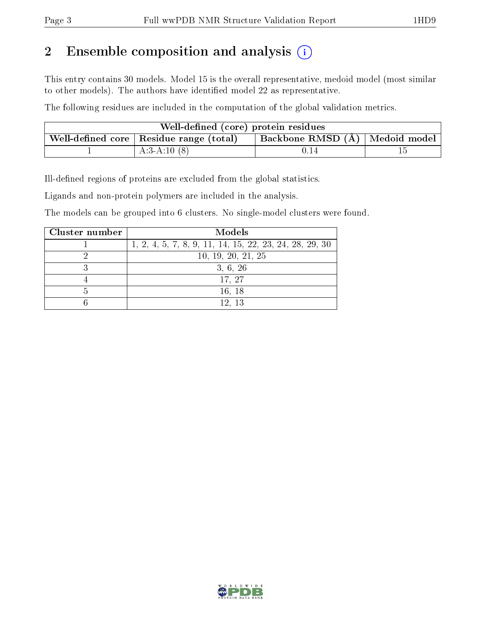## 2 Ensemble composition and analysis  $(i)$

This entry contains 30 models. Model 15 is the overall representative, medoid model (most similar to other models). The authors have identified model 22 as representative.

The following residues are included in the computation of the global validation metrics.

| Well-defined (core) protein residues                                        |               |      |  |  |  |
|-----------------------------------------------------------------------------|---------------|------|--|--|--|
| Backbone RMSD (Å) Medoid model<br>Well-defined core   Residue range (total) |               |      |  |  |  |
|                                                                             | $A:3-A:10(8)$ | U.I4 |  |  |  |

Ill-defined regions of proteins are excluded from the global statistics.

Ligands and non-protein polymers are included in the analysis.

The models can be grouped into 6 clusters. No single-model clusters were found.

| Cluster number | Models                                                  |
|----------------|---------------------------------------------------------|
|                | 1, 2, 4, 5, 7, 8, 9, 11, 14, 15, 22, 23, 24, 28, 29, 30 |
|                | 10, 19, 20, 21, 25                                      |
|                | 3, 6, 26                                                |
|                | 17, 27                                                  |
|                | 16, 18                                                  |
|                | 12, 13                                                  |

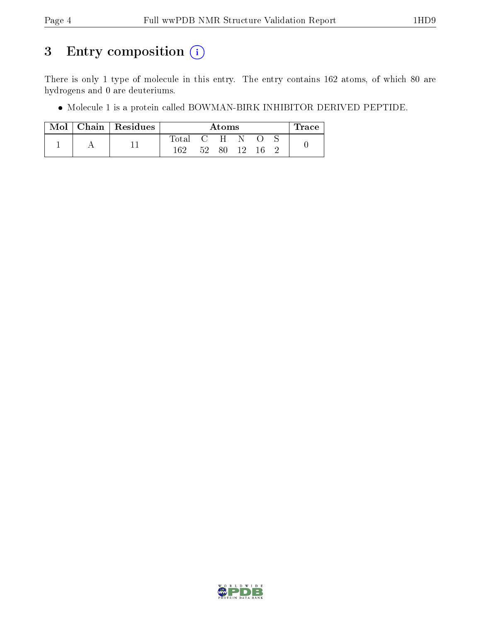## 3 Entry composition (i)

There is only 1 type of molecule in this entry. The entry contains 162 atoms, of which 80 are hydrogens and 0 are deuteriums.

Molecule 1 is a protein called BOWMAN-BIRK INHIBITOR DERIVED PEPTIDE.

| Mol | Chain Residues | Atoms            |     |     |       | $\operatorname{Trace}$ |  |  |
|-----|----------------|------------------|-----|-----|-------|------------------------|--|--|
|     |                | $\mathrm{Total}$ |     | C H | - N - |                        |  |  |
|     |                | 162              | 52. | 80  | $19-$ | -16                    |  |  |

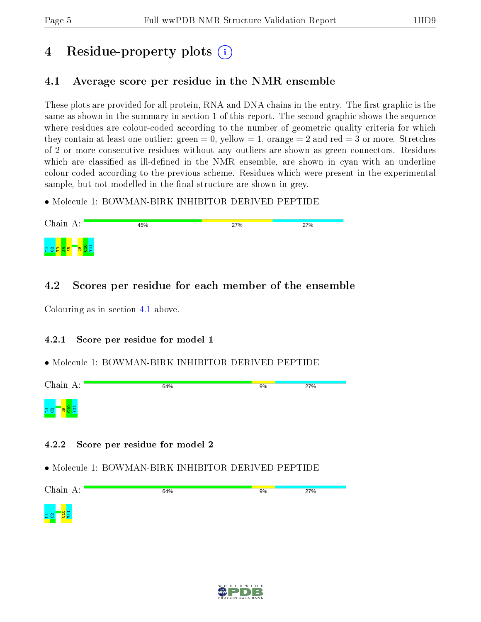## 4 Residue-property plots  $\binom{1}{1}$

## <span id="page-4-0"></span>4.1 Average score per residue in the NMR ensemble

These plots are provided for all protein, RNA and DNA chains in the entry. The first graphic is the same as shown in the summary in section 1 of this report. The second graphic shows the sequence where residues are colour-coded according to the number of geometric quality criteria for which they contain at least one outlier: green  $= 0$ , yellow  $= 1$ , orange  $= 2$  and red  $= 3$  or more. Stretches of 2 or more consecutive residues without any outliers are shown as green connectors. Residues which are classified as ill-defined in the NMR ensemble, are shown in cyan with an underline colour-coded according to the previous scheme. Residues which were present in the experimental sample, but not modelled in the final structure are shown in grey.

• Molecule 1: BOWMAN-BIRK INHIBITOR DERIVED PEPTIDE



## 4.2 Scores per residue for each member of the ensemble

Colouring as in section [4.1](#page-4-0) above.

## 4.2.1 Score per residue for model 1

## • Molecule 1: BOWMAN-BIRK INHIBITOR DERIVED PEPTIDE



## 4.2.2 Score per residue for model 2



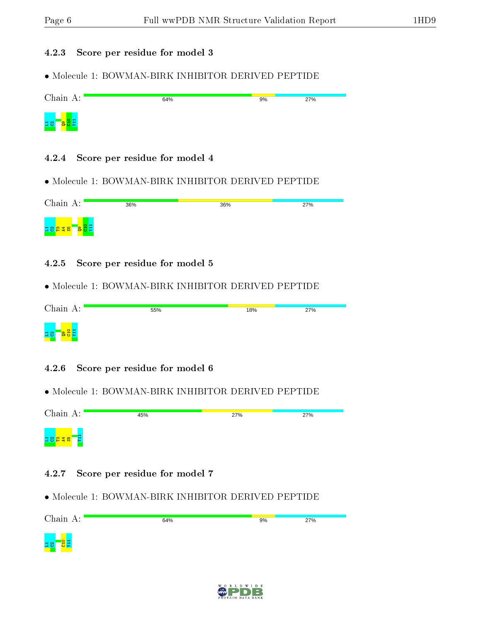#### 4.2.3 Score per residue for model 3

• Molecule 1: BOWMAN-BIRK INHIBITOR DERIVED PEPTIDE

| Chain A: | 64% | 9% | 27% |
|----------|-----|----|-----|
| $\Xi$ 8  |     |    |     |

#### 4.2.4 Score per residue for model 4

• Molecule 1: BOWMAN-BIRK INHIBITOR DERIVED PEPTIDE

| Chain A:       | 36% | 36% | 27% |
|----------------|-----|-----|-----|
| $\sqrt{9}$ H H |     |     |     |

#### 4.2.5 Score per residue for model 5

• Molecule 1: BOWMAN-BIRK INHIBITOR DERIVED PEPTIDE

| Chain $A:$                                | 55% | 18% | 27% |
|-------------------------------------------|-----|-----|-----|
| <mark>ョg</mark><br>a<br><mark>88</mark> H |     |     |     |

#### 4.2.6 Score per residue for model 6

• Molecule 1: BOWMAN-BIRK INHIBITOR DERIVED PEPTIDE

Chain A: 45% 27% 27%  $\mathtt{H}\mathtt{B}$ ងន

#### 4.2.7 Score per residue for model 7



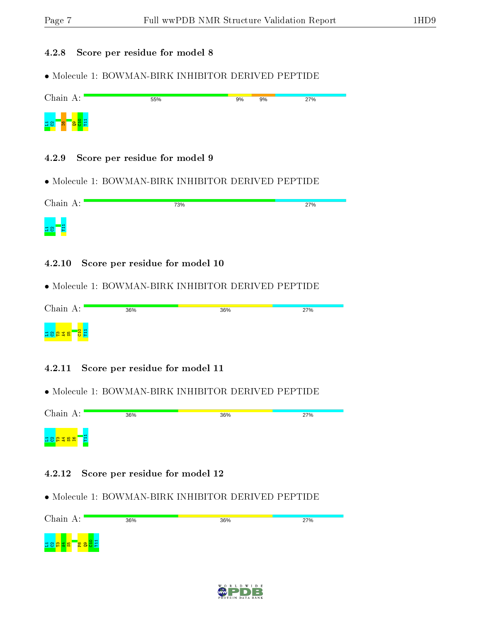#### 4.2.8 Score per residue for model 8

• Molecule 1: BOWMAN-BIRK INHIBITOR DERIVED PEPTIDE

| Chain A:                 | 55% | 9% | 9% | 27% |
|--------------------------|-----|----|----|-----|
| $\Xi$ 8<br><b>O</b><br>н |     |    |    |     |

#### 4.2.9 Score per residue for model 9

• Molecule 1: BOWMAN-BIRK INHIBITOR DERIVED PEPTIDE

| Chain A:          | 73% | 27% |
|-------------------|-----|-----|
| <mark>ម នា</mark> |     |     |

4.2.10 Score per residue for model 10

• Molecule 1: BOWMAN-BIRK INHIBITOR DERIVED PEPTIDE

| Chain $A:$                                     | 36% | 36% | 27% |
|------------------------------------------------|-----|-----|-----|
| <mark>មានសង្គម</mark><br><mark>មានសង្គម</mark> |     |     |     |

#### 4.2.11 Score per residue for model 11

• Molecule 1: BOWMAN-BIRK INHIBITOR DERIVED PEPTIDE

Chain A: 36% 36% 27% E1 L1C2T3A4S5I6

#### 4.2.12 Score per residue for model 12



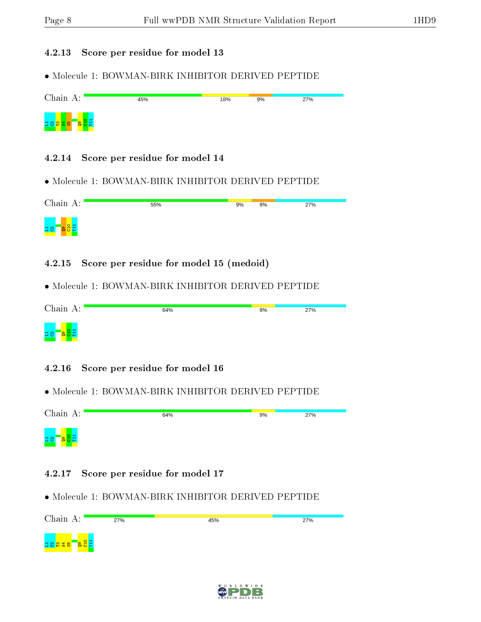#### 4.2.13 Score per residue for model 13

• Molecule 1: BOWMAN-BIRK INHIBITOR DERIVED PEPTIDE

| Chain A:                   | 45% | 18% | 9% | 27% |
|----------------------------|-----|-----|----|-----|
| r a f<br>모음 <mark>용</mark> |     |     |    |     |

#### 4.2.14 Score per residue for model 14

• Molecule 1: BOWMAN-BIRK INHIBITOR DERIVED PEPTIDE

| Chain A:                      | 55% | 9% | 9% | 27% |
|-------------------------------|-----|----|----|-----|
| Q9<br>C10<br>Y11<br><u>급암</u> |     |    |    |     |

4.2.15 Score per residue for model 15 (medoid)

• Molecule 1: BOWMAN-BIRK INHIBITOR DERIVED PEPTIDE

| Chain A:        | 64% | 9% | 27% |
|-----------------|-----|----|-----|
| $\overline{58}$ |     |    |     |

#### 4.2.16 Score per residue for model 16

• Molecule 1: BOWMAN-BIRK INHIBITOR DERIVED PEPTIDE

| Chain A:              | 64% | 9% | 27% |
|-----------------------|-----|----|-----|
| $\sim$ $-$<br>$\Xi$ 8 |     |    |     |

#### 4.2.17 Score per residue for model 17



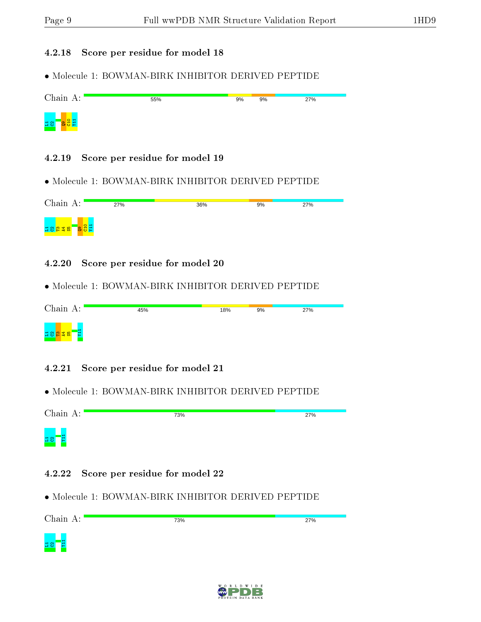#### 4.2.18 Score per residue for model 18

• Molecule 1: BOWMAN-BIRK INHIBITOR DERIVED PEPTIDE

| Chain A:                         | 55% | 9% | 9% | 27% |
|----------------------------------|-----|----|----|-----|
| $\frac{1}{2}$<br>$\overline{58}$ |     |    |    |     |

4.2.19 Score per residue for model 19

• Molecule 1: BOWMAN-BIRK INHIBITOR DERIVED PEPTIDE

| Chain $A$ :                                                  | 27% | 36% | 9% | 27% |
|--------------------------------------------------------------|-----|-----|----|-----|
| <b>a</b> <sub>8</sub><br><mark>ដន</mark> ្ទួន <mark>ន</mark> |     |     |    |     |

4.2.20 Score per residue for model 20

| Chain A:                                    | 45% | 18% | 9% | 27% |
|---------------------------------------------|-----|-----|----|-----|
| <mark>ដ ខ <mark>ឌ ឌ ន</mark>ា</mark><br>Tg. |     |     |    |     |

- 4.2.21 Score per residue for model 21
- Molecule 1: BOWMAN-BIRK INHIBITOR DERIVED PEPTIDE

| Chain A:             | 73% | 27% |
|----------------------|-----|-----|
| WILA<br>$\mathbf{B}$ |     |     |

- 4.2.22 Score per residue for model 22
- Molecule 1: BOWMAN-BIRK INHIBITOR DERIVED PEPTIDE



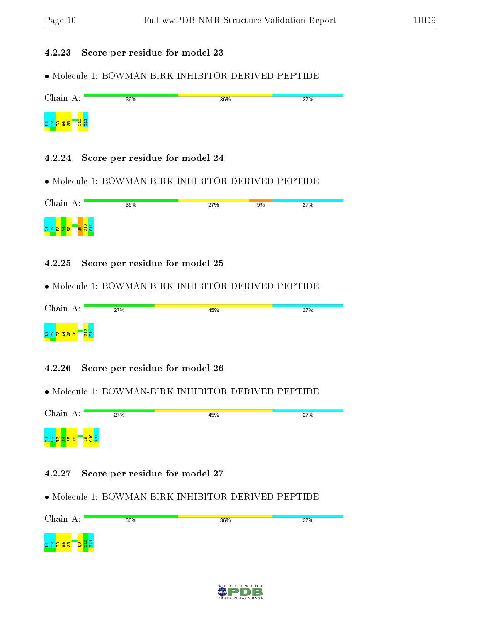#### 4.2.23 Score per residue for model 23

• Molecule 1: BOWMAN-BIRK INHIBITOR DERIVED PEPTIDE

| Chain A:                                | 36% | 36% | 27% |
|-----------------------------------------|-----|-----|-----|
| C <sub>11</sub><br><mark>ដន</mark> ឌីឌី |     |     |     |

- 4.2.24 Score per residue for model 24
- Molecule 1: BOWMAN-BIRK INHIBITOR DERIVED PEPTIDE

| Chain A:                                                                   | 36% | 27% | 9% | 27% |
|----------------------------------------------------------------------------|-----|-----|----|-----|
| $\circ$ $\frac{1}{2}$ $\frac{1}{2}$<br>ក្នុង <mark>ខ</mark><br><b>I</b> to |     |     |    |     |

4.2.25 Score per residue for model 25

• Molecule 1: BOWMAN-BIRK INHIBITOR DERIVED PEPTIDE

| Chain A:                       | 27% | 45% | 27% |
|--------------------------------|-----|-----|-----|
| <mark>មទី ចិននិង ទី និង</mark> |     |     |     |

- 4.2.26 Score per residue for model 26
- Molecule 1: BOWMAN-BIRK INHIBITOR DERIVED PEPTIDE

Chain A: 27% 45% 27%  $\frac{1}{2}$  $\Xi$ 1 2 8 <mark>2 3 6 2</mark> 5  $\overline{e}$ 

- 4.2.27 Score per residue for model 27
- Molecule 1: BOWMAN-BIRK INHIBITOR DERIVED PEPTIDE



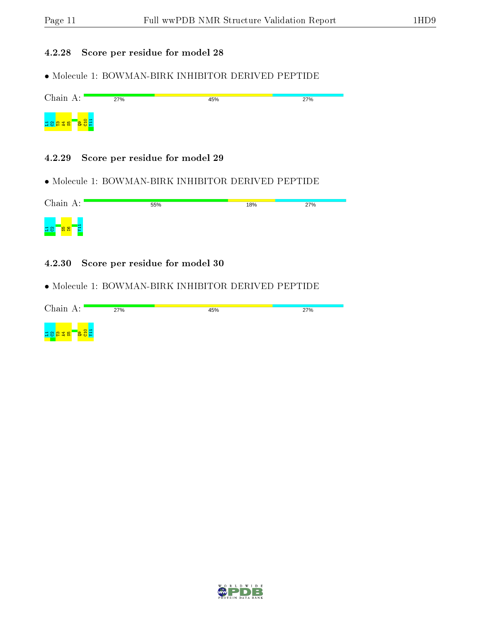### 4.2.28 Score per residue for model 28

• Molecule 1: BOWMAN-BIRK INHIBITOR DERIVED PEPTIDE

| Chain A:                                  | 27% | 45% | 27% |
|-------------------------------------------|-----|-----|-----|
| <mark>agg</mark><br><mark>ដន្ទងន</mark> ់ |     |     |     |

#### 4.2.29 Score per residue for model 29

• Molecule 1: BOWMAN-BIRK INHIBITOR DERIVED PEPTIDE

| Chain A:                        | 55% | 18% | 27% |
|---------------------------------|-----|-----|-----|
| $\frac{97}{25}$<br>륯<br>$\Xi$ 8 |     |     |     |

4.2.30 Score per residue for model 30

| Chain A:                                   | 27% | 45% | 27% |
|--------------------------------------------|-----|-----|-----|
| <mark>agd</mark><br><mark>។ ខាង ន ន</mark> |     |     |     |

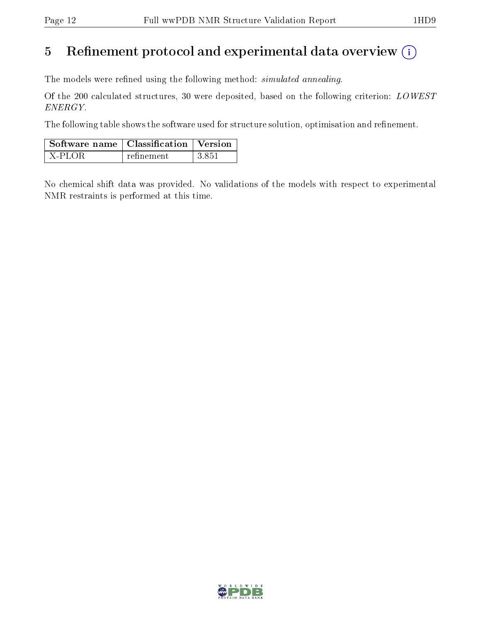## 5 Refinement protocol and experimental data overview  $\binom{1}{k}$

The models were refined using the following method: *simulated annealing*.

Of the 200 calculated structures, 30 were deposited, based on the following criterion: LOWEST ENERGY.

The following table shows the software used for structure solution, optimisation and refinement.

| $\mid$ Software name $\mid$ Classification $\mid$ Version |            |        |
|-----------------------------------------------------------|------------|--------|
| X-PLOR                                                    | refinement | -3.851 |

No chemical shift data was provided. No validations of the models with respect to experimental NMR restraints is performed at this time.

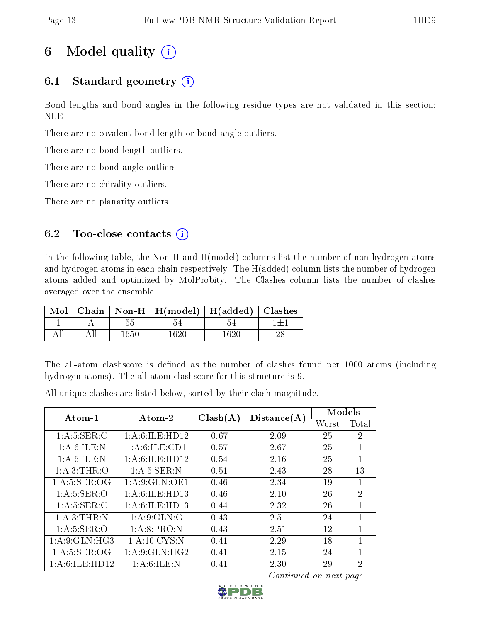## 6 Model quality  $(i)$

## 6.1 Standard geometry  $(i)$

Bond lengths and bond angles in the following residue types are not validated in this section: NLE

There are no covalent bond-length or bond-angle outliers.

There are no bond-length outliers.

There are no bond-angle outliers.

There are no chirality outliers.

There are no planarity outliers.

## 6.2 Too-close contacts  $(i)$

In the following table, the Non-H and H(model) columns list the number of non-hydrogen atoms and hydrogen atoms in each chain respectively. The H(added) column lists the number of hydrogen atoms added and optimized by MolProbity. The Clashes column lists the number of clashes averaged over the ensemble.

| Mol |          | Chain   Non-H   H(model)   H(added)   Clashes |         |  |
|-----|----------|-----------------------------------------------|---------|--|
|     | 55       |                                               |         |  |
|     | $1650\,$ | 1620                                          | -1620 - |  |

The all-atom clashscore is defined as the number of clashes found per 1000 atoms (including hydrogen atoms). The all-atom clashscore for this structure is 9.

| $Atom-1$          | Atom-2            | $Clash(\AA)$ | Distance(A) | Models |                |
|-------------------|-------------------|--------------|-------------|--------|----------------|
|                   |                   |              |             | Worst  | Total          |
| 1: A: 5: SER: C   | 1: A:6: ILE: HD12 | 0.67         | 2.09        | 25     | $\overline{2}$ |
| 1: A:6: ILE:N     | 1: A:6: ILE: CD1  | 0.57         | 2.67        | 25     | 1              |
| 1: A:6: ILE:N     | 1: A:6: ILE: HD12 | 0.54         | 2.16        | 25     | $\mathbf{1}$   |
| 1: A:3:THR:O      | 1: A:5: SER: N    | 0.51         | 2.43        | 28     | 13             |
| 1: A:5: SER:OG    | 1:A:9:GLN:OE1     | 0.46         | 2.34        | 19     | 1              |
| 1: A: 5: SER: O   | 1: A:6: ILE: HD13 | 0.46         | 2.10        | 26     | $\overline{2}$ |
| 1: A:5: SER: C    | 1: A:6: ILE: HD13 | 0.44         | 2.32        | 26     | 1              |
| 1: A:3: THEN: N   | 1: A:9: GLN:O     | 0.43         | 2.51        | 24     | 1              |
| 1: A:5: SER:O     | 1:A:8:PRO:N       | 0.43         | 2.51        | 12     | 1              |
| 1: A:9: GLN: HG3  | 1: A:10:CYS:N     | 0.41         | 2.29        | 18     | 1              |
| 1: A:5: SER:OG    | 1: A:9: GLN: HG2  | 0.41         | 2.15        | 24     | 1              |
| 1: A:6: ILE: HD12 | 1: A:6: ILE:N     | 0.41         | 2.30        | 29     | $\overline{2}$ |

All unique clashes are listed below, sorted by their clash magnitude.

Continued on next page...

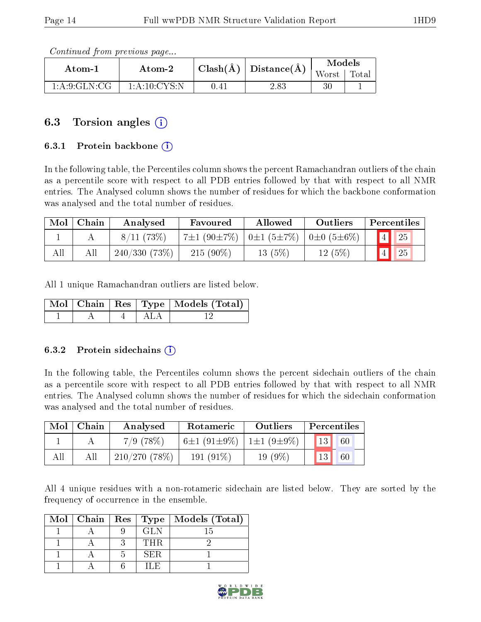Continued from previous page...

| Atom-1          | $Atom-2$       |      | $\pm \text{ Classh}(\text{\AA}) \mid \text{Distance}(\text{\AA}) \perp$ | <b>Models</b> |       |  |
|-----------------|----------------|------|-------------------------------------------------------------------------|---------------|-------|--|
|                 |                |      |                                                                         | Worst         | Total |  |
| 1: A:9: GLN: CG | 1: A:10: CYS:N | 1.41 | 2.83                                                                    |               |       |  |

## 6.3 Torsion angles (i)

#### 6.3.1 Protein backbone (i)

In the following table, the Percentiles column shows the percent Ramachandran outliers of the chain as a percentile score with respect to all PDB entries followed by that with respect to all NMR entries. The Analysed column shows the number of residues for which the backbone conformation was analysed and the total number of residues.

| Mol | Chain | Analysed     | Favoured          | Allowed                                                 | Outliers | Percentiles |
|-----|-------|--------------|-------------------|---------------------------------------------------------|----------|-------------|
|     |       | 8/11(73%)    | $7\pm1(90\pm7\%)$ | $\vert 0 \pm 1 (5 \pm 7 \%) \vert 0 \pm 0 (5 \pm 6 \%)$ |          | $\vert$ 25  |
| All |       | 240/330(73%) | $215(90\%)$       | 13(5%)                                                  | 12(5%)   | 25          |

All 1 unique Ramachandran outliers are listed below.

|  |                                        | Mol   Chain   Res   Type   Models (Total) |
|--|----------------------------------------|-------------------------------------------|
|  | $\mathbf{A}$ $\mathbf{A}$ $\mathbf{A}$ |                                           |

#### 6.3.2 Protein sidechains  $\hat{1}$

In the following table, the Percentiles column shows the percent sidechain outliers of the chain as a percentile score with respect to all PDB entries followed by that with respect to all NMR entries. The Analysed column shows the number of residues for which the sidechain conformation was analysed and the total number of residues.

| Mol | Chain | Analysed     | Rotameric                                     |           | Percentiles            |    |
|-----|-------|--------------|-----------------------------------------------|-----------|------------------------|----|
|     |       | $7/9$ (78\%) | $6\pm1$ (91 $\pm$ 9%)   1 $\pm1$ (9 $\pm$ 9%) |           | $\vert 13 \vert \vert$ | 60 |
| All |       | 210/270(78%) | 191 $(91\%)$                                  | $19(9\%)$ |                        | 60 |

All 4 unique residues with a non-rotameric sidechain are listed below. They are sorted by the frequency of occurrence in the ensemble.

|  |      | Mol   Chain   Res   Type   Models (Total) |
|--|------|-------------------------------------------|
|  | GL N |                                           |
|  | THR. |                                           |
|  | SER. |                                           |
|  |      |                                           |

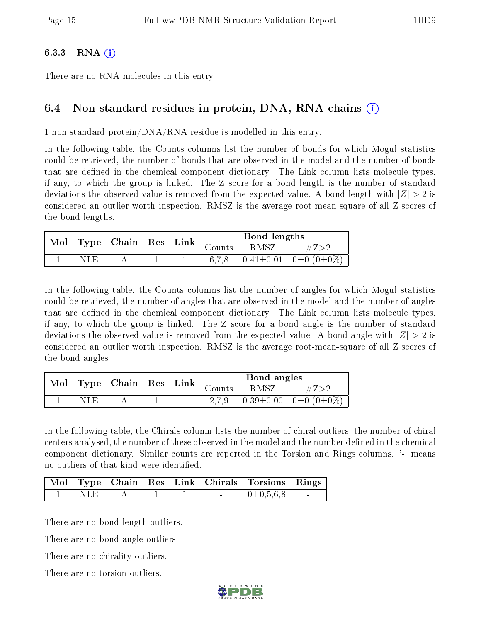#### 6.3.3 RNA  $(i)$

There are no RNA molecules in this entry.

## 6.4 Non-standard residues in protein, DNA, RNA chains (i)

1 non-standard protein/DNA/RNA residue is modelled in this entry.

In the following table, the Counts columns list the number of bonds for which Mogul statistics could be retrieved, the number of bonds that are observed in the model and the number of bonds that are defined in the chemical component dictionary. The Link column lists molecule types, if any, to which the group is linked. The Z score for a bond length is the number of standard deviations the observed value is removed from the expected value. A bond length with  $|Z| > 2$  is considered an outlier worth inspection. RMSZ is the average root-mean-square of all Z scores of the bond lengths.

| Mol |     | $\mid$ Type $\mid$ Chain $\mid$ Res $\mid$ Link |  |          | Bond lengths |                                                |
|-----|-----|-------------------------------------------------|--|----------|--------------|------------------------------------------------|
|     |     |                                                 |  | Counts - | RMSZ         | $\#Z>2$                                        |
|     | NLE |                                                 |  |          |              | $\pm 0.41 \pm 0.01$   0 $\pm 0$ (0 $\pm 0\%$ ) |

In the following table, the Counts columns list the number of angles for which Mogul statistics could be retrieved, the number of angles that are observed in the model and the number of angles that are defined in the chemical component dictionary. The Link column lists molecule types, if any, to which the group is linked. The Z score for a bond angle is the number of standard deviations the observed value is removed from the expected value. A bond angle with  $|Z| > 2$  is considered an outlier worth inspection. RMSZ is the average root-mean-square of all Z scores of the bond angles.

|      | Mol   Type   Chain   Res   Link |  |          | Bond angles |                                            |
|------|---------------------------------|--|----------|-------------|--------------------------------------------|
|      |                                 |  | Counts - | RMSZ        |                                            |
| NLE. |                                 |  |          |             | $0.39 \pm 0.00$   0 $\pm 0$ (0 $\pm 0\%$ ) |

In the following table, the Chirals column lists the number of chiral outliers, the number of chiral centers analysed, the number of these observed in the model and the number defined in the chemical component dictionary. Similar counts are reported in the Torsion and Rings columns. '-' means no outliers of that kind were identified.

|      |  |  | Mol   Type   Chain   Res   Link   Chirals   Torsions   Rings |  |
|------|--|--|--------------------------------------------------------------|--|
| NLE. |  |  | $+0\pm0.5.6.8$                                               |  |

There are no bond-length outliers.

There are no bond-angle outliers.

There are no chirality outliers.

There are no torsion outliers.

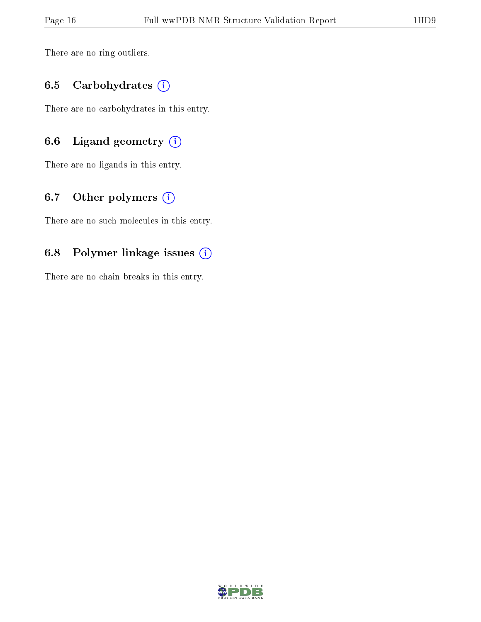There are no ring outliers.

### 6.5 Carbohydrates (i)

There are no carbohydrates in this entry.

## 6.6 Ligand geometry  $(i)$

There are no ligands in this entry.

## 6.7 [O](https://www.wwpdb.org/validation/2017/NMRValidationReportHelp#nonstandard_residues_and_ligands)ther polymers (i)

There are no such molecules in this entry.

## 6.8 Polymer linkage issues (i)

There are no chain breaks in this entry.